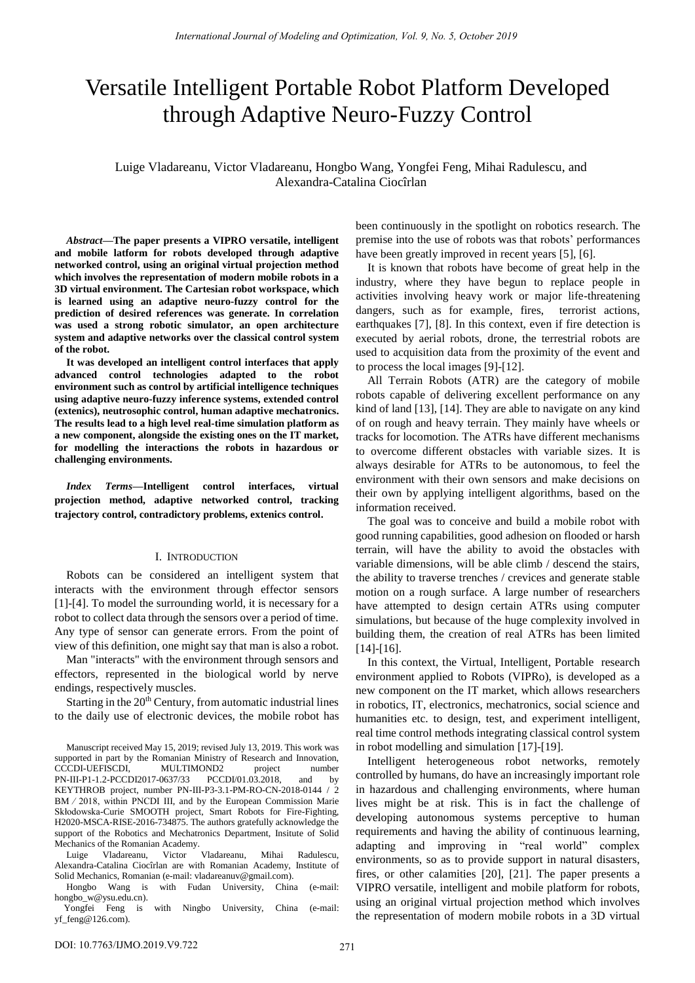# Versatile Intelligent Portable Robot Platform Developed through Adaptive Neuro-Fuzzy Control

Luige Vladareanu, Victor Vladareanu, Hongbo Wang, Yongfei Feng, Mihai Radulescu, and Alexandra-Catalina Ciocîrlan

*Abstract***—The paper presents a VIPRO versatile, intelligent and mobile latform for robots developed through adaptive networked control, using an original virtual projection method which involves the representation of modern mobile robots in a 3D virtual environment. The Cartesian robot workspace, which is learned using an adaptive neuro-fuzzy control for the prediction of desired references was generate. In correlation was used a strong robotic simulator, an open architecture system and adaptive networks over the classical control system of the robot.** 

**It was developed an intelligent control interfaces that apply advanced control technologies adapted to the robot environment such as control by artificial intelligence techniques using adaptive neuro-fuzzy inference systems, extended control (extenics), neutrosophic control, human adaptive mechatronics. The results lead to a high level real-time simulation platform as a new component, alongside the existing ones on the IT market, for modelling the interactions the robots in hazardous or challenging environments.**

*Index Terms***—Intelligent control interfaces, virtual projection method, adaptive networked control, tracking trajectory control, contradictory problems, extenics control.** 

### I. INTRODUCTION

Robots can be considered an intelligent system that interacts with the environment through effector sensors [1]-[4]. To model the surrounding world, it is necessary for a robot to collect data through the sensors over a period of time. Any type of sensor can generate errors. From the point of view of this definition, one might say that man is also a robot.

Man "interacts" with the environment through sensors and effectors, represented in the biological world by nerve endings, respectively muscles.

Starting in the  $20<sup>th</sup>$  Century, from automatic industrial lines to the daily use of electronic devices, the mobile robot has

Luige Vladareanu, Victor Vladareanu, Mihai Radulescu, Alexandra-Catalina Ciocîrlan are with Romanian Academy, Institute of Solid Mechanics, Romanian (e-mail[: vladareanuv@gmail.com\)](mailto:vladareanuv@gmail.com).

Hongbo Wang is with Fudan University, China (e-mail: [hongbo\\_w@ysu.edu.cn\)](mailto:hongbo_w@ysu.edu.cn).<br>Yongfei Feng is

with Ningbo University, China (e-mail: [yf\\_feng@126.com\)](mailto:yf_feng@126.com).

been continuously in the spotlight on robotics research. The premise into the use of robots was that robots' performances have been greatly improved in recent years [5], [6].

It is known that robots have become of great help in the industry, where they have begun to replace people in activities involving heavy work or major life-threatening dangers, such as for example, fires, terrorist actions, earthquakes [7], [8]. In this context, even if fire detection is executed by aerial robots, drone, the terrestrial robots are used to acquisition data from the proximity of the event and to process the local images [9]-[12].

All Terrain Robots (ATR) are the category of mobile robots capable of delivering excellent performance on any kind of land [13], [14]. They are able to navigate on any kind of on rough and heavy terrain. They mainly have wheels or tracks for locomotion. The ATRs have different mechanisms to overcome different obstacles with variable sizes. It is always desirable for ATRs to be autonomous, to feel the environment with their own sensors and make decisions on their own by applying intelligent algorithms, based on the information received.

The goal was to conceive and build a mobile robot with good running capabilities, good adhesion on flooded or harsh terrain, will have the ability to avoid the obstacles with variable dimensions, will be able climb / descend the stairs, the ability to traverse trenches / crevices and generate stable motion on a rough surface. A large number of researchers have attempted to design certain ATRs using computer simulations, but because of the huge complexity involved in building them, the creation of real ATRs has been limited  $[14]-[16]$ .

In this context, the Virtual, Intelligent, Portable research environment applied to Robots (VIPRo), is developed as a new component on the IT market, which allows researchers in robotics, IT, electronics, mechatronics, social science and humanities etc. to design, test, and experiment intelligent, real time control methods integrating classical control system in robot modelling and simulation [17]-[19].

Intelligent heterogeneous robot networks, remotely controlled by humans, do have an increasingly important role in hazardous and challenging environments, where human lives might be at risk. This is in fact the challenge of developing autonomous systems perceptive to human requirements and having the ability of continuous learning, adapting and improving in "real world" complex environments, so as to provide support in natural disasters, fires, or other calamities [20], [21]. The paper presents a VIPRO versatile, intelligent and mobile platform for robots, using an original virtual projection method which involves the representation of modern mobile robots in a 3D virtual

Manuscript received May 15, 2019; revised July 13, 2019. This work was supported in part by the Romanian Ministry of Research and Innovation, CCCDI-UEFISCDI, MULTIMOND2 project number<br>PN-III-P1-1.2-PCCDI2017-0637/33 PCCDI/01.03.2018, and by PN-III-P1-1.2-PCCDI2017-0637/33 PCCDI/01.03.2018, and by KEYTHROB project, number PN-III-P3-3.1-PM-RO-CN-2018-0144 / 2 BM ⁄ 2018, within PNCDI III, and by the European Commission Marie Skłodowska-Curie SMOOTH project, Smart Robots for Fire-Fighting, H2020-MSCA-RISE-2016-734875. The authors gratefully acknowledge the support of the Robotics and Mechatronics Department, Insitute of Solid Mechanics of the Romanian Academy.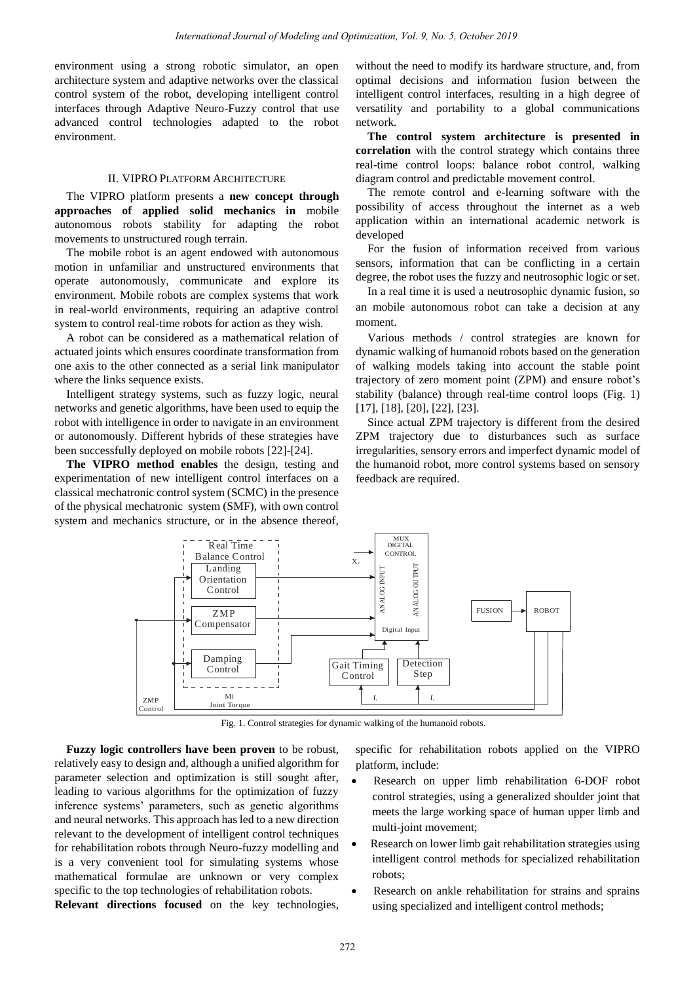environment using a strong robotic simulator, an open architecture system and adaptive networks over the classical control system of the robot, developing intelligent control interfaces through Adaptive Neuro-Fuzzy control that use advanced control technologies adapted to the robot environment.

## II. VIPRO PLATFORM ARCHITECTURE

The VIPRO platform presents a **new concept through approaches of applied solid mechanics in** mobile autonomous robots stability for adapting the robot movements to unstructured rough terrain.

The mobile robot is an agent endowed with autonomous motion in unfamiliar and unstructured environments that operate autonomously, communicate and explore its environment. Mobile robots are complex systems that work in real-world environments, requiring an adaptive control system to control real-time robots for action as they wish.

A robot can be considered as a mathematical relation of actuated joints which ensures coordinate transformation from one axis to the other connected as a serial link manipulator where the links sequence exists.

Intelligent strategy systems, such as fuzzy logic, neural networks and genetic algorithms, have been used to equip the robot with intelligence in order to navigate in an environment or autonomously. Different hybrids of these strategies have been successfully deployed on mobile robots [22]-[24].

**The VIPRO method enables** the design, testing and experimentation of new intelligent control interfaces on a classical mechatronic control system (SCMC) in the presence of the physical mechatronic system (SMF), with own control system and mechanics structure, or in the absence thereof,

without the need to modify its hardware structure, and, from optimal decisions and information fusion between the intelligent control interfaces, resulting in a high degree of versatility and portability to a global communications network.

**The control system architecture is presented in correlation** with the control strategy which contains three real-time control loops: balance robot control, walking diagram control and predictable movement control.

The remote control and e-learning software with the possibility of access throughout the internet as a web application within an international academic network is developed

For the fusion of information received from various sensors, information that can be conflicting in a certain degree, the robot uses the fuzzy and neutrosophic logic or set.

In a real time it is used a neutrosophic dynamic fusion, so an mobile autonomous robot can take a decision at any moment.

Various methods / control strategies are known for dynamic walking of humanoid robots based on the generation of walking models taking into account the stable point trajectory of zero moment point (ZPM) and ensure robot's stability (balance) through real-time control loops (Fig. 1) [17], [18], [20], [22], [23].

Since actual ZPM trajectory is different from the desired ZPM trajectory due to disturbances such as surface irregularities, sensory errors and imperfect dynamic model of the humanoid robot, more control systems based on sensory feedback are required.



Fig. 1. Control strategies for dynamic walking of the humanoid robots.

**Fuzzy logic controllers have been proven** to be robust, relatively easy to design and, although a unified algorithm for parameter selection and optimization is still sought after, leading to various algorithms for the optimization of fuzzy inference systems' parameters, such as genetic algorithms and neural networks. This approach has led to a new direction relevant to the development of intelligent control techniques for rehabilitation robots through Neuro-fuzzy modelling and is a very convenient tool for simulating systems whose mathematical formulae are unknown or very complex specific to the top technologies of rehabilitation robots.

**Relevant directions focused** on the key technologies,

specific for rehabilitation robots applied on the VIPRO platform, include:

- Research on upper limb rehabilitation 6-DOF robot control strategies, using a generalized shoulder joint that meets the large working space of human upper limb and multi-joint movement;
- Research on lower limb gait rehabilitation strategies using intelligent control methods for specialized rehabilitation robots;
- Research on ankle rehabilitation for strains and sprains using specialized and intelligent control methods;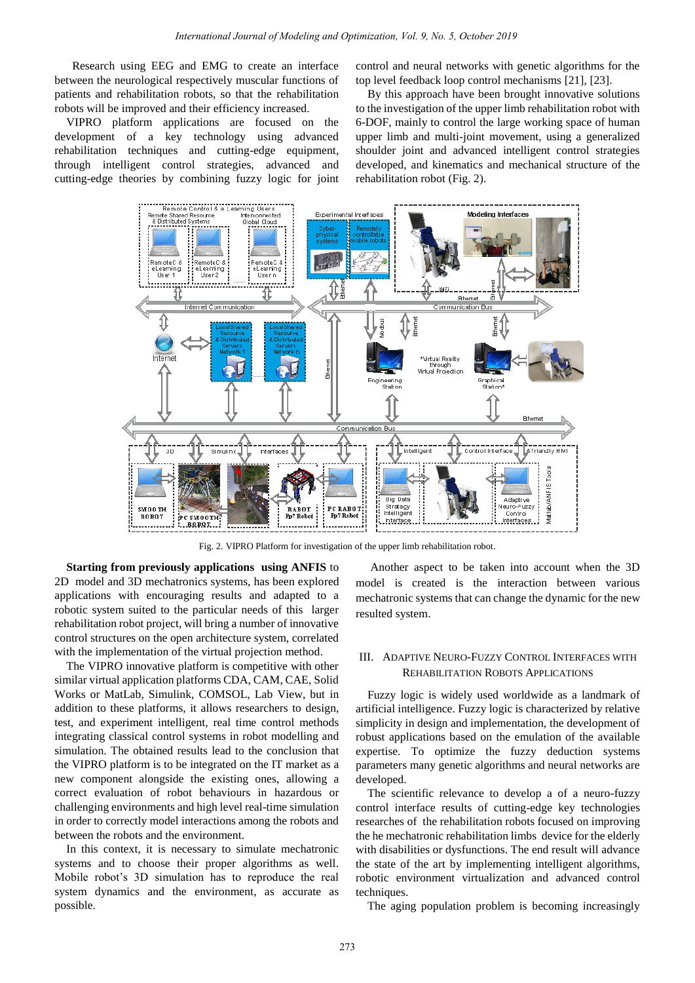Research using EEG and EMG to create an interface between the neurological respectively muscular functions of patients and rehabilitation robots, so that the rehabilitation robots will be improved and their efficiency increased.

VIPRO platform applications are focused on the development of a key technology using advanced rehabilitation techniques and cutting-edge equipment, through intelligent control strategies, advanced and cutting-edge theories by combining fuzzy logic for joint control and neural networks with genetic algorithms for the top level feedback loop control mechanisms [21], [23].

By this approach have been brought innovative solutions to the investigation of the upper limb rehabilitation robot with 6-DOF, mainly to control the large working space of human upper limb and multi-joint movement, using a generalized shoulder joint and advanced intelligent control strategies developed, and kinematics and mechanical structure of the rehabilitation robot (Fig. 2).



Fig. 2. VIPRO Platform for investigation of the upper limb rehabilitation robot.

**Starting from previously applications using ANFIS** to 2D model and 3D mechatronics systems, has been explored applications with encouraging results and adapted to a robotic system suited to the particular needs of this larger rehabilitation robot project, will bring a number of innovative control structures on the open architecture system, correlated with the implementation of the virtual projection method.

The VIPRO innovative platform is competitive with other similar virtual application platforms CDA, CAM, CAE, Solid Works or MatLab, Simulink, COMSOL, Lab View, but in addition to these platforms, it allows researchers to design, test, and experiment intelligent, real time control methods integrating classical control systems in robot modelling and simulation. The obtained results lead to the conclusion that the VIPRO platform is to be integrated on the IT market as a new component alongside the existing ones, allowing a correct evaluation of robot behaviours in hazardous or challenging environments and high level real-time simulation in order to correctly model interactions among the robots and between the robots and the environment.

In this context, it is necessary to simulate mechatronic systems and to choose their proper algorithms as well. Mobile robot's 3D simulation has to reproduce the real system dynamics and the environment, as accurate as possible.

Another aspect to be taken into account when the 3D model is created is the interaction between various mechatronic systems that can change the dynamic for the new resulted system.

## III. ADAPTIVE NEURO-FUZZY CONTROL INTERFACES WITH REHABILITATION ROBOTS APPLICATIONS

Fuzzy logic is widely used worldwide as a landmark of artificial intelligence. Fuzzy logic is characterized by relative simplicity in design and implementation, the development of robust applications based on the emulation of the available expertise. To optimize the fuzzy deduction systems parameters many genetic algorithms and neural networks are developed.

The scientific relevance to develop a of a neuro-fuzzy control interface results of cutting-edge key technologies researches of the rehabilitation robots focused on improving the he mechatronic rehabilitation limbs device for the elderly with disabilities or dysfunctions. The end result will advance the state of the art by implementing intelligent algorithms, robotic environment virtualization and advanced control techniques.

The aging population problem is becoming increasingly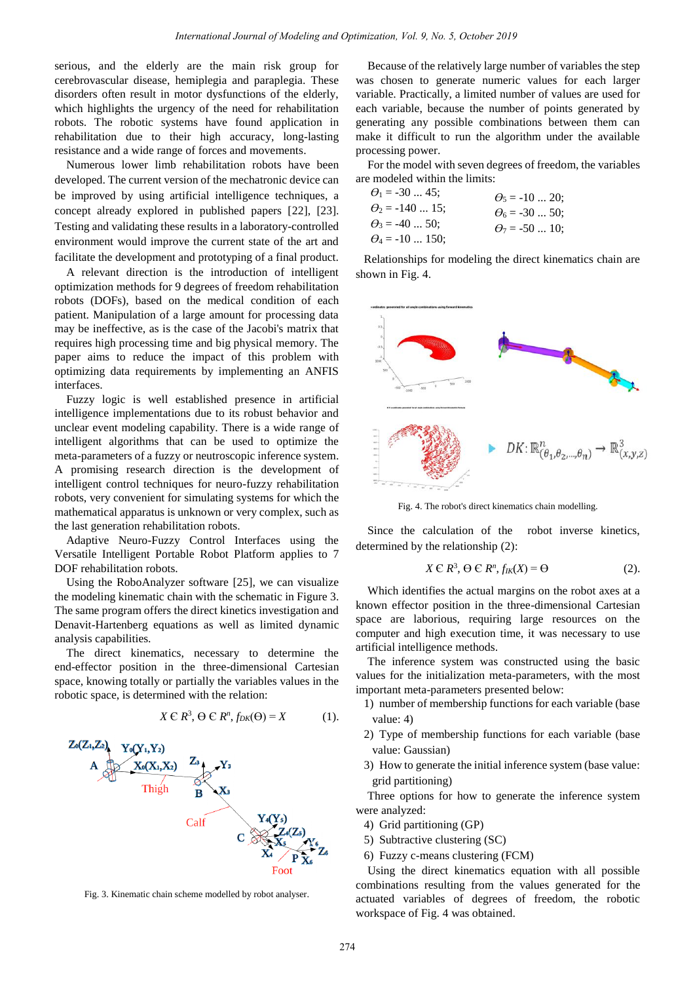serious, and the elderly are the main risk group for cerebrovascular disease, hemiplegia and paraplegia. These disorders often result in motor dysfunctions of the elderly, which highlights the urgency of the need for rehabilitation robots. The robotic systems have found application in rehabilitation due to their high accuracy, long-lasting resistance and a wide range of forces and movements.

Numerous lower limb rehabilitation robots have been developed. The current version of the mechatronic device can be improved by using artificial intelligence techniques, a concept already explored in published papers [22], [23]. Testing and validating these results in a laboratory-controlled environment would improve the current state of the art and facilitate the development and prototyping of a final product.

A relevant direction is the introduction of intelligent optimization methods for 9 degrees of freedom rehabilitation robots (DOFs), based on the medical condition of each patient. Manipulation of a large amount for processing data may be ineffective, as is the case of the Jacobi's matrix that requires high processing time and big physical memory. The paper aims to reduce the impact of this problem with optimizing data requirements by implementing an ANFIS interfaces.

Fuzzy logic is well established presence in artificial intelligence implementations due to its robust behavior and unclear event modeling capability. There is a wide range of intelligent algorithms that can be used to optimize the meta-parameters of a fuzzy or neutroscopic inference system. A promising research direction is the development of intelligent control techniques for neuro-fuzzy rehabilitation robots, very convenient for simulating systems for which the mathematical apparatus is unknown or very complex, such as the last generation rehabilitation robots.

Adaptive Neuro-Fuzzy Control Interfaces using the Versatile Intelligent Portable Robot Platform applies to 7 DOF rehabilitation robots.

Using the RoboAnalyzer software [25], we can visualize the modeling kinematic chain with the schematic in Figure 3. The same program offers the direct kinetics investigation and Denavit-Hartenberg equations as well as limited dynamic analysis capabilities.

The direct kinematics, necessary to determine the end-effector position in the three-dimensional Cartesian space, knowing totally or partially the variables values in the robotic space, is determined with the relation:

$$
X \in \mathbb{R}^3, \Theta \in \mathbb{R}^n, f_{DK}(\Theta) = X \tag{1}.
$$



Fig. 3. Kinematic chain scheme modelled by robot analyser.

Because of the relatively large number of variables the step was chosen to generate numeric values for each larger variable. Practically, a limited number of values are used for each variable, because the number of points generated by generating any possible combinations between them can make it difficult to run the algorithm under the available processing power.

For the model with seven degrees of freedom, the variables are modeled within the limits:

| $\theta_1 = -30 \dots 45$ ; | $\theta_5 = -10 \dots 20$ ; |
|-----------------------------|-----------------------------|
| $\theta_2$ = -140  15;      | $\theta_6 = -30 \dots 50$ ; |
| $\theta_3 = -40 \dots 50$ ; | $\theta_7 = -50$ 10:        |
| $\theta_4 = -10$ 150;       |                             |

Relationships for modeling the direct kinematics chain are shown in Fig. 4.



Fig. 4. The robot's direct kinematics chain modelling.

Since the calculation of the robot inverse kinetics, determined by the relationship (2):

$$
X \in \mathbb{R}^3, \Theta \in \mathbb{R}^n, f_{\mathcal{I}K}(X) = \Theta \tag{2}.
$$

Which identifies the actual margins on the robot axes at a known effector position in the three-dimensional Cartesian space are laborious, requiring large resources on the computer and high execution time, it was necessary to use artificial intelligence methods.

The inference system was constructed using the basic values for the initialization meta-parameters, with the most important meta-parameters presented below:

- 1) number of membership functions for each variable (base value: 4)
- 2) Type of membership functions for each variable (base value: Gaussian)
- 3) How to generate the initial inference system (base value: grid partitioning)

Three options for how to generate the inference system were analyzed:

- 4) Grid partitioning (GP)
- 5) Subtractive clustering (SC)
- 6) Fuzzy c-means clustering (FCM)

Using the direct kinematics equation with all possible combinations resulting from the values generated for the actuated variables of degrees of freedom, the robotic workspace of Fig. 4 was obtained.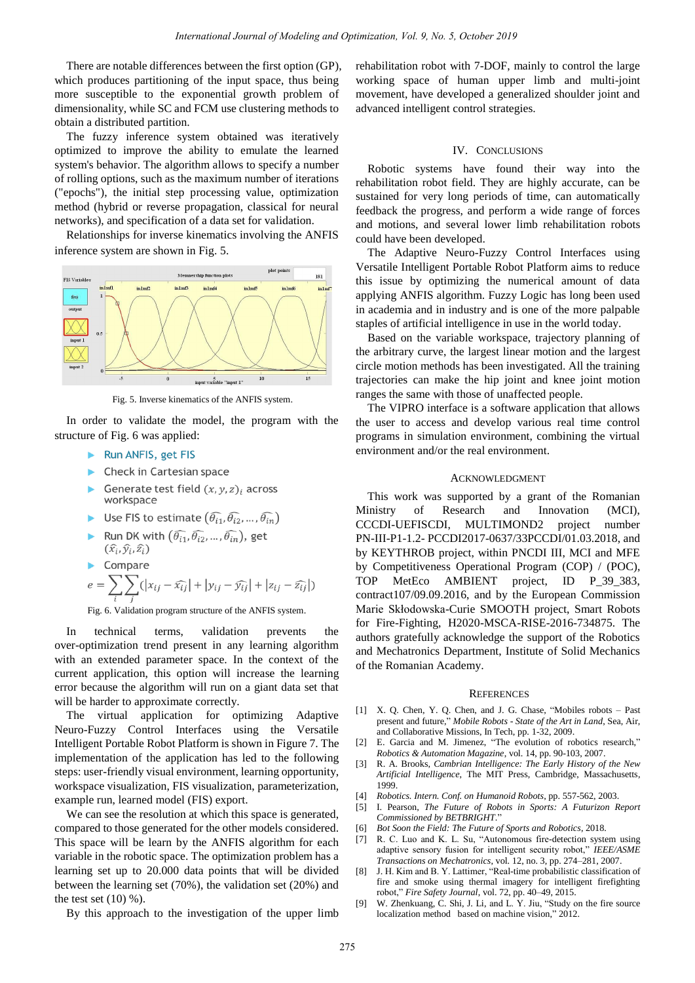There are notable differences between the first option (GP), which produces partitioning of the input space, thus being more susceptible to the exponential growth problem of dimensionality, while SC and FCM use clustering methods to obtain a distributed partition.

The fuzzy inference system obtained was iteratively optimized to improve the ability to emulate the learned system's behavior. The algorithm allows to specify a number of rolling options, such as the maximum number of iterations ("epochs"), the initial step processing value, optimization method (hybrid or reverse propagation, classical for neural networks), and specification of a data set for validation.

Relationships for inverse kinematics involving the ANFIS inference system are shown in Fig. 5.



Fig. 5. Inverse kinematics of the ANFIS system.

In order to validate the model, the program with the structure of Fig. 6 was applied:

- Run ANFIS, get FIS
- $\blacktriangleright$  Check in Cartesian space
- Generate test field  $(x, y, z)$  across workspace
- Use FIS to estimate  $(\widehat{\theta_{i1}}, \widehat{\theta_{i2}}, ..., \widehat{\theta_{in}})$
- Run DK with  $(\widehat{\theta_{i1}}, \widehat{\theta_{i2}}, ..., \widehat{\theta_{in}})$ , get  $(\widehat{x}_i, \widehat{y}_i, \widehat{z}_i)$

$$
e = \sum_{i} \sum_{j} (|x_{ij} - \widehat{x_{ij}}| + |y_{ij} - \widehat{y_{ij}}| + |z_{ij} - \widehat{z_{ij}}|)
$$
  
Fig. 6. Validation program structure of the AMEIS system

Fig. 6. Validation program structure of the ANFIS system.

In technical terms, validation prevents the over-optimization trend present in any learning algorithm with an extended parameter space. In the context of the current application, this option will increase the learning error because the algorithm will run on a giant data set that will be harder to approximate correctly.

The virtual application for optimizing Adaptive Neuro-Fuzzy Control Interfaces using the Versatile Intelligent Portable Robot Platform is shown in Figure 7. The implementation of the application has led to the following steps: user-friendly visual environment, learning opportunity, workspace visualization, FIS visualization, parameterization, example run, learned model (FIS) export.

We can see the resolution at which this space is generated, compared to those generated for the other models considered. This space will be learn by the ANFIS algorithm for each variable in the robotic space. The optimization problem has a learning set up to 20.000 data points that will be divided between the learning set (70%), the validation set (20%) and the test set  $(10)$  %).

By this approach to the investigation of the upper limb

rehabilitation robot with 7-DOF, mainly to control the large working space of human upper limb and multi-joint movement, have developed a generalized shoulder joint and advanced intelligent control strategies.

## IV. CONCLUSIONS

Robotic systems have found their way into the rehabilitation robot field. They are highly accurate, can be sustained for very long periods of time, can automatically feedback the progress, and perform a wide range of forces and motions, and several lower limb rehabilitation robots could have been developed.

The Adaptive Neuro-Fuzzy Control Interfaces using Versatile Intelligent Portable Robot Platform aims to reduce this issue by optimizing the numerical amount of data applying ANFIS algorithm. Fuzzy Logic has long been used in academia and in industry and is one of the more palpable staples of artificial intelligence in use in the world today.

Based on the variable workspace, trajectory planning of the arbitrary curve, the largest linear motion and the largest circle motion methods has been investigated. All the training trajectories can make the hip joint and knee joint motion ranges the same with those of unaffected people.

The VIPRO interface is a software application that allows the user to access and develop various real time control programs in simulation environment, combining the virtual environment and/or the real environment.

## ACKNOWLEDGMENT

This work was supported by a grant of the Romanian Ministry of Research and Innovation (MCI), CCCDI-UEFISCDI, MULTIMOND2 project number PN-III-P1-1.2- PCCDI2017-0637/33PCCDI/01.03.2018, and by KEYTHROB project, within PNCDI III, MCI and MFE by Competitiveness Operational Program (COP) / (POC), TOP MetEco AMBIENT project, ID P\_39\_383, contract107/09.09.2016, and by the European Commission Marie Skłodowska-Curie SMOOTH project, Smart Robots for Fire-Fighting, H2020-MSCA-RISE-2016-734875. The authors gratefully acknowledge the support of the Robotics and Mechatronics Department, Institute of Solid Mechanics of the Romanian Academy.

#### **REFERENCES**

- [1] X. Q. Chen, Y. Q. Chen, and J. G. Chase, "Mobiles robots Past present and future," *Mobile Robots - State of the Art in Land*, Sea, Air, and Collaborative Missions, In Tech, pp. 1-32, 2009.
- [2] E. Garcia and M. Jimenez, "The evolution of robotics research," *Robotics & Automation Magazine*, vol. 14, pp. 90-103, 2007.
- [3] R. A. Brooks, *Cambrian Intelligence: The Early History of the New Artificial Intelligence*, The MIT Press, Cambridge, Massachusetts, 1999.
- [4] *Robotics. Intern. Conf. on Humanoid Robots*, pp. 557-562, 2003.
- [5] I. Pearson, *The Future of Robots in Sports: A Futurizon Report Commissioned by BETBRIGHT*."
- [6] *Bot Soon the Field: The Future of Sports and Robotics*, 2018.
- [7] R. C. Luo and K. L. Su, "Autonomous fire-detection system using adaptive sensory fusion for intelligent security robot," *IEEE/ASME Transactions on Mechatronics*, vol. 12, no. 3, pp. 274–281, 2007.
- [8] J. H. Kim and B. Y. Lattimer, "Real-time probabilistic classification of fire and smoke using thermal imagery for intelligent firefighting robot," *Fire Safety Journal*, vol. 72, pp. 40–49, 2015.
- [9] W. Zhenkuang, C. Shi, J. Li, and L. Y. Jiu, "Study on the fire source localization method based on machine vision," 2012.